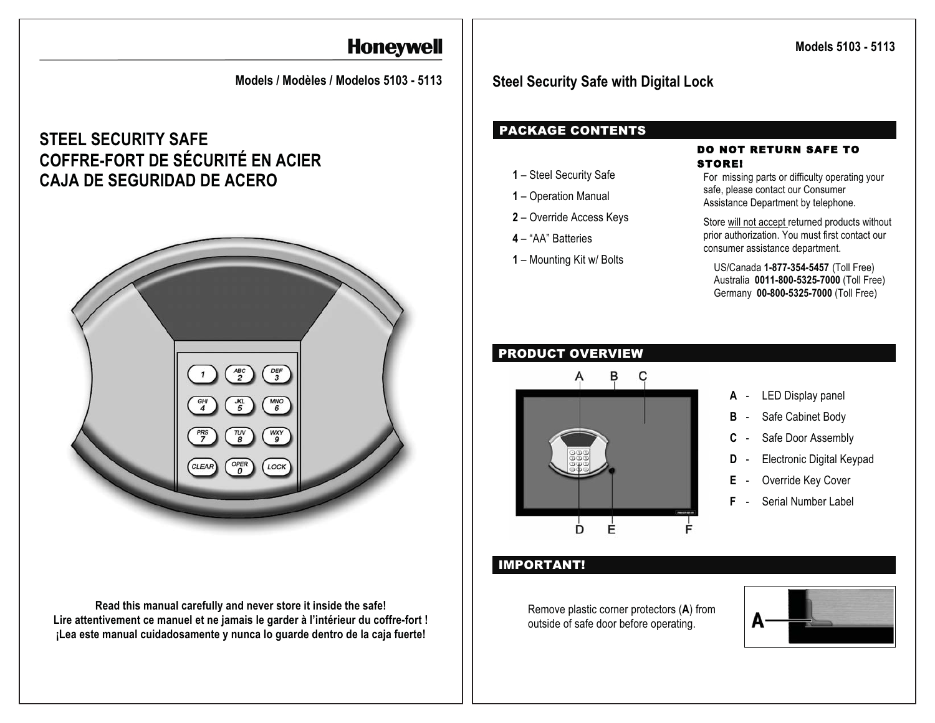# **Honeywell**

 **Models / Modèles / Modelos 5103 - 5113** 

## **STEEL SECURITY SAFE COFFRE-FORT DE SÉCURITÉ EN ACIER CAJA DE SEGURIDAD DE ACERO**



**Read this manual carefully and never store it inside the safe! Lire attentivement ce manuel et ne jamais le garder à l'intérieur du coffre-fort ! ¡Lea este manual cuidadosamente y nunca lo guarde dentro de la caja fuerte!** 

 **Models 5103 - 5113** 

## **Steel Security Safe with Digital Lock**

## PACKAGE CONTENTS

- **1** Steel Security Safe
- **1** Operation Manual
- **2** Override Access Keys
- **4** "AA" Batteries
- **1** Mounting Kit w/ Bolts

#### DO NOT RETURN SAFE TO STORE!

For missing parts or difficulty operating your safe, please contact our Consumer Assistance Department by telephone.

Store will not accept returned products without prior authorization. You must first contact our consumer assistance department.

US/Canada **1-877-354-5457** (Toll Free) Australia **0011-800-5325-7000** (Toll Free) Germany **00-800-5325-7000** (Toll Free)

## PRODUCT OVERVIEW



- **A**  LED Display panel
- **B** Safe Cabinet Body
- **C** Safe Door Assembly
- **D** Electronic Digital Keypad
- **E** Override Key Cover
- **F** Serial Number Label

## IMPORTANT!

Remove plastic corner protectors (**A**) from outside of safe door before operating.

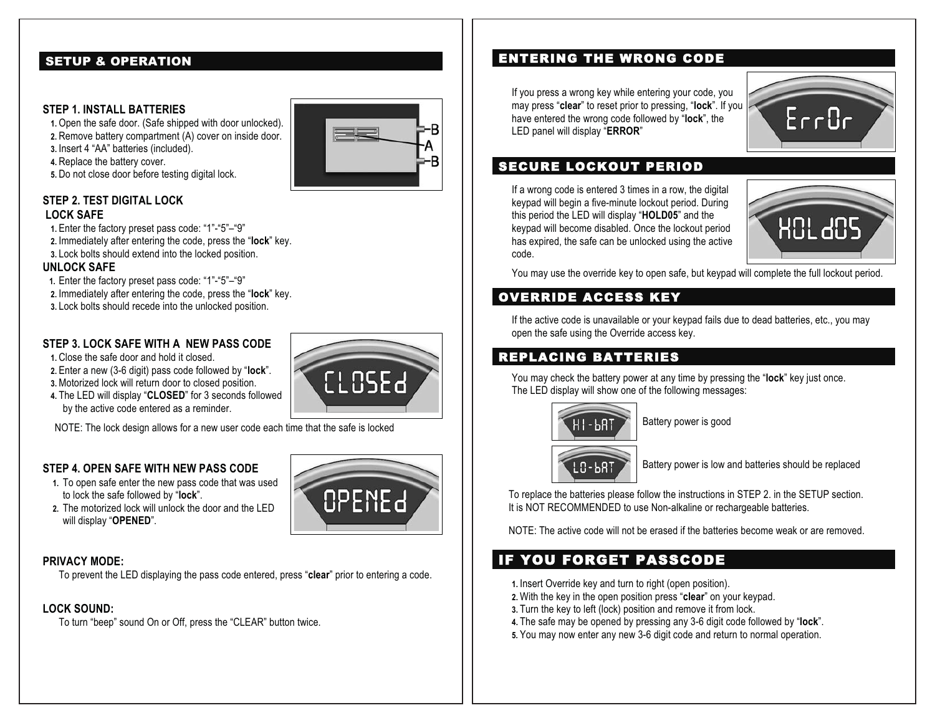## SETUP & OPERATION

#### **STEP 1. INSTALL BATTERIES**

**1.** Open the safe door. (Safe shipped with door unlocked).

**2.** Remove battery compartment (A) cover on inside door.

**3.** Insert 4 "AA" batteries (included).

**4.** Replace the battery cover.

**5.** Do not close door before testing digital lock.

#### **STEP 2. TEST DIGITAL LOCK LOCK SAFE**

- **1.** Enter the factory preset pass code: "1"-"5"–"9"
- **2.** Immediately after entering the code, press the "**lock**" key.
- **3.** Lock bolts should extend into the locked position.

#### **UNLOCK SAFE**

- **1.** Enter the factory preset pass code: "1"-"5"–"9"
- **2.** Immediately after entering the code, press the "**lock**" key.
- **3.** Lock bolts should recede into the unlocked position.

## **STEP 3. LOCK SAFE WITH A NEW PASS CODE**

**1.** Close the safe door and hold it closed.

- **2.** Enter a new (3-6 digit) pass code followed by "**lock**".
- **3.** Motorized lock will return door to closed position.
- **4.** The LED will display "**CLOSED**" for 3 seconds followed by the active code entered as a reminder.

NOTE: The lock design allows for a new user code each time that the safe is locked

## **STEP 4. OPEN SAFE WITH NEW PASS CODE**

- **1.** To open safe enter the new pass code that was used to lock the safe followed by "**lock**".
- **2.** The motorized lock will unlock the door and the LED will display "**OPENED**".

## **PRIVACY MODE:**

To prevent the LED displaying the pass code entered, press "**clear**" prior to entering a code.

## **LOCK SOUND:**

To turn "beep" sound On or Off, press the "CLEAR" button twice.

## ENTERING THE WRONG CODE

If you press a wrong key while entering your code, you may press "**clear**" to reset prior to pressing, "**lock**". If you have entered the wrong code followed by "**lock**", the LED panel will display "**ERROR**"



## SECURE LOCKOUT PERIOD

If a wrong code is entered 3 times in a row, the digital keypad will begin a five-minute lockout period. During this period the LED will display "**HOLD05**" and the keypad will become disabled. Once the lockout period has expired, the safe can be unlocked using the active code.



You may use the override key to open safe, but keypad will complete the full lockout period.

## OVERRIDE ACCESS KEY

If the active code is unavailable or your keypad fails due to dead batteries, etc., you may open the safe using the Override access key.

## REPLACING BATTERIES

You may check the battery power at any time by pressing the "**lock**" key just once. The LED display will show one of the following messages:



LO-BAT

Battery power is good

Battery power is low and batteries should be replaced

To replace the batteries please follow the instructions in STEP 2. in the SETUP section. It is NOT RECOMMENDED to use Non-alkaline or rechargeable batteries.

NOTE: The active code will not be erased if the batteries become weak or are removed.

## IF YOU FORGET PASSCODE

- **1.** Insert Override key and turn to right (open position).
- **2.** With the key in the open position press "**clear**" on your keypad.
- **3.** Turn the key to left (lock) position and remove it from lock.
- **4.** The safe may be opened by pressing any 3-6 digit code followed by "**lock**".
- **5.** You may now enter any new 3-6 digit code and return to normal operation.



OPENEd

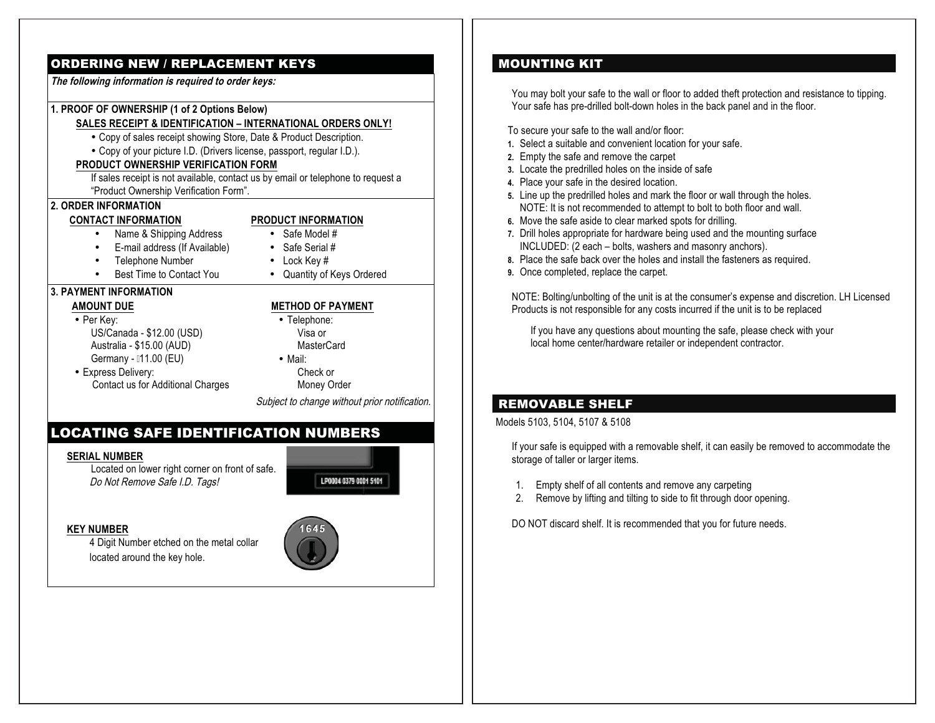## ORDERING NEW / REPLACEMENT KEYS

**The following information is required to order keys:**

## **1. PROOF OF OWNERSHIP (1 of 2 Options Below)**

## **SALES RECEIPT & IDENTIFICATION – INTERNATIONAL ORDERS ONLY!**

- Copy of sales receipt showing Store, Date & Product Description.
- Copy of your picture I.D. (Drivers license, passport, regular I.D.).

#### **PRODUCT OWNERSHIP VERIFICATION FORM**

If sales receipt is not available, contact us by email or telephone to request a "Product Ownership Verification Form".

## **2. ORDER INFORMATION**

#### **CONTACT INFORMATION**

#### **PRODUCT INFORMATION** • Safe Model #

- Name & Shipping Address
	- E-mail address (If Available) • Safe Serial #
- Telephone Number
- Best Time to Contact You
- 
- 
- Lock Key #
- Quantity of Keys Ordered

#### **3. PAYMENT INFORMATION**

#### **AMOUNT DUE**

•

•

- Per Key: US/Canada - \$12.00 (USD) Australia - \$15.00 (AUD) Germany - 11.00 (EU)
- Express Delivery: Contact us for Additional Charges
- **METHOD OF PAYMENT**
- Telephone: Visa or **MasterCard** • Mail:
- Check or

Money Order

Subject to change without prior notification.

## LOCATING SAFE IDENTIFICATION NUMBERS

#### **SERIAL NUMBER**

Located on lower right corner on front of safe. Do Not Remove Safe I.D. Tags!



#### **KEY NUMBER**

4 Digit Number etched on the metal collar located around the key hole.



## MOUNTING KIT

You may bolt your safe to the wall or floor to added theft protection and resistance to tipping. Your safe has pre-drilled bolt-down holes in the back panel and in the floor.

To secure your safe to the wall and/or floor:

- **1.** Select a suitable and convenient location for your safe.
- **2.** Empty the safe and remove the carpet
- **3.** Locate the predrilled holes on the inside of safe
- **4.** Place your safe in the desired location.
- **5.** Line up the predrilled holes and mark the floor or wall through the holes. NOTE: It is not recommended to attempt to bolt to both floor and wall.
- **6.** Move the safe aside to clear marked spots for drilling.
- **7.** Drill holes appropriate for hardware being used and the mounting surface INCLUDED: (2 each – bolts, washers and masonry anchors).
- **8.** Place the safe back over the holes and install the fasteners as required.
- **9.** Once completed, replace the carpet.

NOTE: Bolting/unbolting of the unit is at the consumer's expense and discretion. LH Licensed Products is not responsible for any costs incurred if the unit is to be replaced

If you have any questions about mounting the safe, please check with your local home center/hardware retailer or independent contractor.

## REMOVABLE SHELF

Models 5103, 5104, 5107 & 5108

If your safe is equipped with a removable shelf, it can easily be removed to accommodate the storage of taller or larger items.

- 1. Empty shelf of all contents and remove any carpeting
- 2. Remove by lifting and tilting to side to fit through door opening.

DO NOT discard shelf. It is recommended that you for future needs.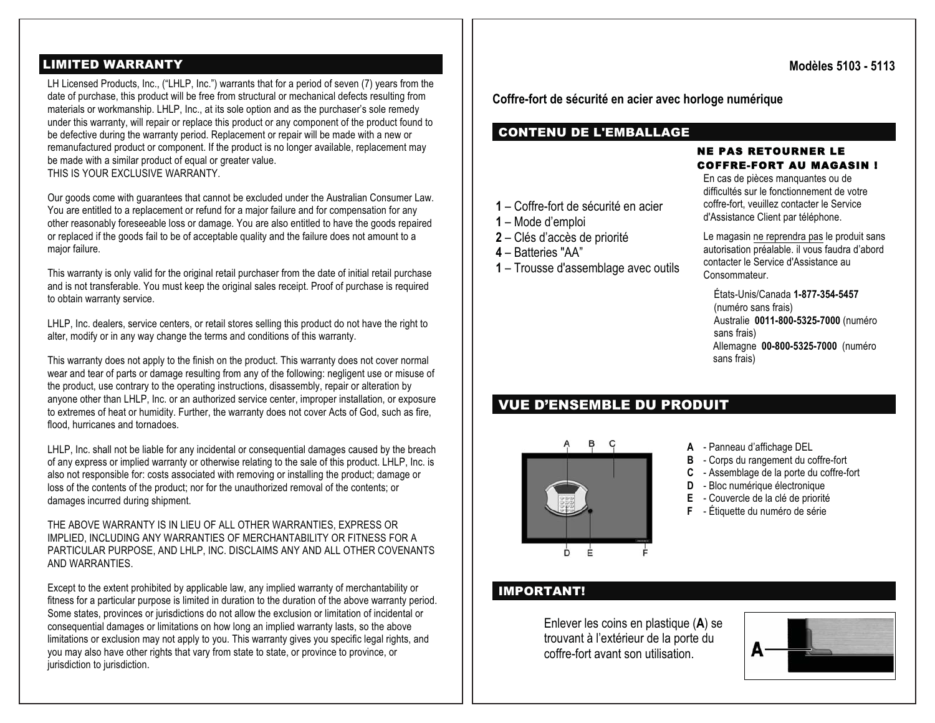## LIMITED WARRANTY

LH Licensed Products, Inc., ("LHLP, Inc.") warrants that for a period of seven (7) years from the date of purchase, this product will be free from structural or mechanical defects resulting from materials or workmanship. LHLP, Inc., at its sole option and as the purchaser's sole remedy under this warranty, will repair or replace this product or any component of the product found to be defective during the warranty period. Replacement or repair will be made with a new or remanufactured product or component. If the product is no longer available, replacement may be made with a similar product of equal or greater value. THIS IS YOUR EXCLUSIVE WARRANTY.

Our goods come with guarantees that cannot be excluded under the Australian Consumer Law. You are entitled to a replacement or refund for a major failure and for compensation for any other reasonably foreseeable loss or damage. You are also entitled to have the goods repaired or replaced if the goods fail to be of acceptable quality and the failure does not amount to a major failure.

This warranty is only valid for the original retail purchaser from the date of initial retail purchase and is not transferable. You must keep the original sales receipt. Proof of purchase is required to obtain warranty service.

LHLP, Inc. dealers, service centers, or retail stores selling this product do not have the right to alter, modify or in any way change the terms and conditions of this warranty.

This warranty does not apply to the finish on the product. This warranty does not cover normal wear and tear of parts or damage resulting from any of the following: negligent use or misuse of the product, use contrary to the operating instructions, disassembly, repair or alteration by anyone other than LHLP, Inc. or an authorized service center, improper installation, or exposure to extremes of heat or humidity. Further, the warranty does not cover Acts of God, such as fire, flood, hurricanes and tornadoes.

LHLP, Inc. shall not be liable for any incidental or consequential damages caused by the breach of any express or implied warranty or otherwise relating to the sale of this product. LHLP, Inc. is also not responsible for: costs associated with removing or installing the product; damage or loss of the contents of the product; nor for the unauthorized removal of the contents; or damages incurred during shipment.

THE ABOVE WARRANTY IS IN LIEU OF ALL OTHER WARRANTIES, EXPRESS OR IMPLIED, INCLUDING ANY WARRANTIES OF MERCHANTABILITY OR FITNESS FOR A PARTICULAR PURPOSE, AND LHLP, INC. DISCLAIMS ANY AND ALL OTHER COVENANTS AND WARRANTIES.

Except to the extent prohibited by applicable law, any implied warranty of merchantability or fitness for a particular purpose is limited in duration to the duration of the above warranty period. Some states, provinces or jurisdictions do not allow the exclusion or limitation of incidental or consequential damages or limitations on how long an implied warranty lasts, so the above limitations or exclusion may not apply to you. This warranty gives you specific legal rights, and you may also have other rights that vary from state to state, or province to province, or jurisdiction to jurisdiction.

**Modèles 5103 - 5113** 

**Coffre-fort de sécurité en acier avec horloge numérique** 

## CONTENU DE L'EMBALLAGE

#### NE PAS RETOURNER LE COFFRE-FORT AU MAGASIN !

En cas de pièces manquantes ou de difficultés sur le fonctionnement de votre coffre-fort, veuillez contacter le Service d'Assistance Client par téléphone.

**1** – Coffre-fort de sécurité en acier

- **1** Mode d'emploi
- **2** Clés d'accès de priorité
- **4** Batteries "AA"
- **1** Trousse d'assemblage avec outils

Le magasin ne reprendra pas le produit sans autorisation préalable. il vous faudra d'abord contacter le Service d'Assistance au Consommateur.

États-Unis/Canada **1-877-354-5457**(numéro sans frais) Australie **0011-800-5325-7000** (numéro sans frais) Allemagne **00-800-5325-7000** (numéro sans frais)

## VUE D'ENSEMBLE DU PRODUIT



- **A**  Panneau d'affichage DEL
- **B** Corps du rangement du coffre-fort
- **C** Assemblage de la porte du coffre-fort
- **D** Bloc numérique électronique
- **E** Couvercle de la clé de priorité
- **<sup>F</sup>** Étiquette du numéro de série

## IMPORTANT!

Enlever les coins en plastique ( **A**) se trouvant à l'extérieur de la porte du coffre-fort avant son utilisation.

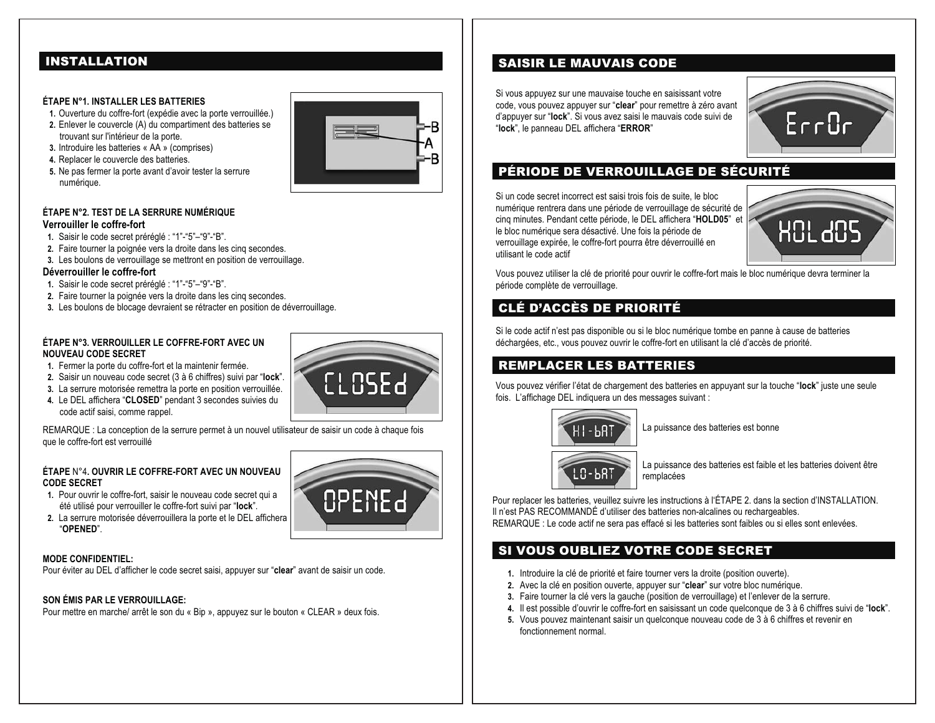## INSTALLATION

#### **ÉTAPE N°1. INSTALLER LES BATTERIES**

- **1.** Ouverture du coffre-fort (expédie avec la porte verrouillée.)
- **2.** Enlever le couvercle (A) du compartiment des batteries se trouvant sur l'intérieur de la porte.
- **3.** Introduire les batteries « AA » (comprises)
- **4.** Replacer le couvercle des batteries.
- **5.** Ne pas fermer la porte avant d'avoir tester la serrure numérique.



#### **ÉTAPE N°2. TEST DE LA SERRURE NUMÉRIQUE Verrouiller le coffre-fort**

- **1.** Saisir le code secret préréglé : "1"-"5"–"9"-"B".
- **2.** Faire tourner la poignée vers la droite dans les cinq secondes.
- **3.** Les boulons de verrouillage se mettront en position de verrouillage.

#### **Déverrouiller le coffre-fort**

- **1.** Saisir le code secret préréglé : "1"-"5"–"9"-"B".
- **2.** Faire tourner la poignée vers la droite dans les cinq secondes.
- **3.** Les boulons de blocage devraient se rétracter en position de déverrouillage.

#### **ÉTAPE N°3. VERROUILLER LE COFFRE-FORT AVEC UN NOUVEAU CODE SECRET**

- **1.** Fermer la porte du coffre-fort et la maintenir fermée.
- **2.** Saisir un nouveau code secret (3 à 6 chiffres) suivi par "**lock**".
- **3.** La serrure motorisée remettra la porte en position verrouillée.
- **4.** Le DEL affichera "**CLOSED**" pendant 3 secondes suivies du code actif saisi, comme rappel.

REMARQUE : La conception de la serrure permet à un nouvel utilisateur de saisir un code à chaque fois que le coffre-fort est verrouillé

#### **ÉTAPE** N°4**. OUVRIR LE COFFRE-FORT AVEC UN NOUVEAU CODE SECRET**

- **1.** Pour ouvrir le coffre-fort, saisir le nouveau code secret qui a été utilisé pour verrouiller le coffre-fort suivi par "**lock**".
- **2.** La serrure motorisée déverrouillera la porte et le DEL affichera "**OPENED**".

#### **MODE CONFIDENTIEL:**

Pour éviter au DEL d'afficher le code secret saisi, appuyer sur "**clear**" avant de saisir un code.

#### **SON ÉMIS PAR LE VERROUILLAGE:**

Pour mettre en marche/ arrêt le son du « Bip », appuyez sur le bouton « CLEAR » deux fois.

# **CLOSEd**

OPENEd

## SAISIR LE MAUVAIS CODE

Si vous appuyez sur une mauvaise touche en saisissant votre code, vous pouvez appuyer sur "**clear**" pour remettre à zéro avant d'appuyer sur "**lock**". Si vous avez saisi le mauvais code suivi de "**lock**", le panneau DEL affichera "**ERROR**"



## PÉRIODE DE VERROUILLAGE DE SÉCURITÉ

Si un code secret incorrect est saisi trois fois de suite, le bloc numérique rentrera dans une période de verrouillage de sécurité de cinq minutes. Pendant cette période, le DEL affichera "**HOLD05**" et le bloc numérique sera désactivé. Une fois la période de verrouillage expirée, le coffre-fort pourra être déverrouillé en utilisant le code actif



Vous pouvez utiliser la clé de priorité pour ouvrir le coffre-fort mais le bloc numérique devra terminer la période complète de verrouillage.

## CLÉ D'ACCÈS DE PRIORITÉ

Si le code actif n'est pas disponible ou si le bloc numérique tombe en panne à cause de batteries déchargées, etc., vous pouvez ouvrir le coffre-fort en utilisant la clé d'accès de priorité.

## REMPLACER LES BATTERIES

Vous pouvez vérifier l'état de chargement des batteries en appuyant sur la touche "**lock**" juste une seule fois. L'affichage DEL indiquera un des messages suivant :



La puissance des batteries est bonne



La puissance des batteries est faible et les batteries doivent être remplacées

Pour replacer les batteries, veuillez suivre les instructions à l'ÉTAPE 2. dans la section d'INSTALLATION. Il n'est PAS RECOMMANDÉ d'utiliser des batteries non-alcalines ou rechargeables. REMARQUE : Le code actif ne sera pas effacé si les batteries sont faibles ou si elles sont enlevées.

## SI VOUS OUBLIEZ VOTRE CODE SECRET

- **1.** Introduire la clé de priorité et faire tourner vers la droite (position ouverte).
- **2.** Avec la clé en position ouverte, appuyer sur "**clear**" sur votre bloc numérique.
- **3.** Faire tourner la clé vers la gauche (position de verrouillage) et l'enlever de la serrure.
- **4.** Il est possible d'ouvrir le coffre-fort en saisissant un code quelconque de 3 à 6 chiffres suivi de "**lock**".
- **5.** Vous pouvez maintenant saisir un quelconque nouveau code de 3 à 6 chiffres et revenir en fonctionnement normal.

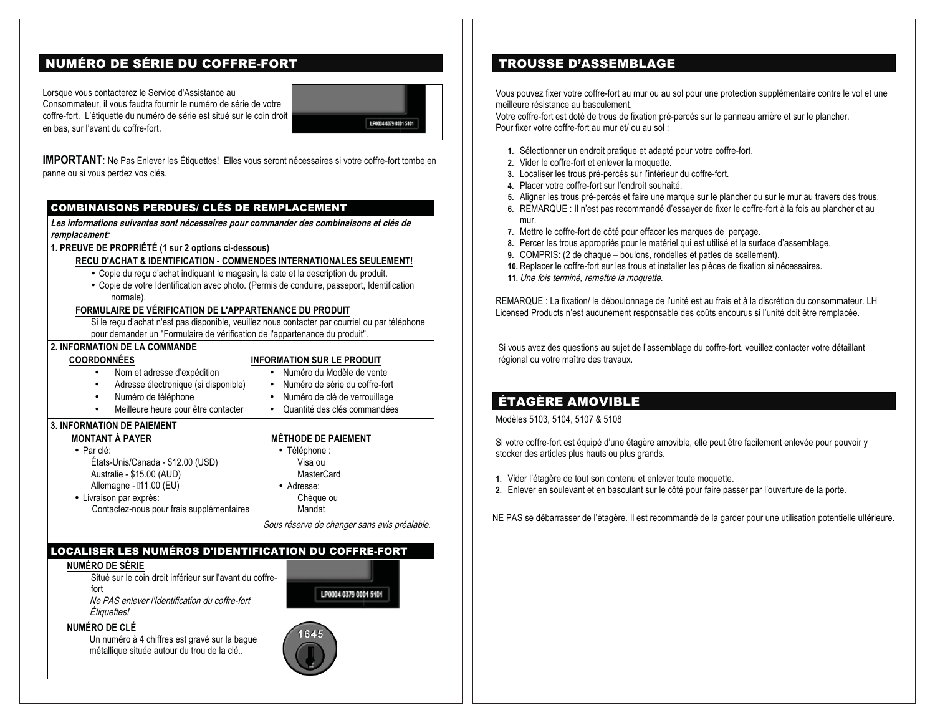## NUMÉRO DE SÉRIE DU COFFRE-FORT

Lorsque vous contacterez le Service d'Assistance au Consommateur, il vous faudra fournir le numéro de série de votre coffre-fort. L'étiquette du numéro de série est situé sur le coin droit en bas, sur l'avant du coffre-fort.



**IMPORTANT**: Ne Pas Enlever les Étiquettes! Elles vous seront nécessaires si votre coffre-fort tombe en panne ou si vous perdez vos clés.

#### COMBINAISONS PERDUES/ CLÉS DE REMPLACEMENT

**Les informations suivantes sont nécessaires pour commander des combinaisons et clés de remplacement:**

**1. PREUVE DE PROPRIÉTÉ (1 sur 2 options ci-dessous)** 

#### **RECU D'ACHAT & IDENTIFICATION - COMMENDES INTERNATIONALES SEULEMENT!**

- Copie du reçu d'achat indiquant le magasin, la date et la description du produit.
- Copie de votre Identification avec photo. (Permis de conduire, passeport, Identification normale).

#### **FORMULAIRE DE VÉRIFICATION DE L'APPARTENANCE DU PRODUIT**

Si le reçu d'achat n'est pas disponible, veuillez nous contacter par courriel ou par téléphone pour demander un "Formulaire de vérification de l'appartenance du produit".

#### **2. INFORMATION DE LA COMMANDE**

**COORDONNÉES** 

#### **INFORMATION SUR LE PRODUIT**

- •Nom et adresse d'expédition
- Numéro du Modèle de vente • Numéro de série du coffre-fort
- • Adresse électronique (si disponible) Numéro de téléphone
	- Numéro de clé de verrouillage
- Meilleure heure pour être contacter
	- Quantité des clés commandées

#### **3. INFORMATION DE PAIEMENT MONTANT À PAYER**

• Livraison par exprès:

•

•

• Par clé: États-Unis/Canada - \$12.00 (USD) Australie - \$15.00 (AUD) Allemagne - 11.00 (EU)

#### **MÉTHODE DE PAIEMENT**

• Téléphone : Visa ou MasterCard • Adresse: Chèque ou

Mandat

Sous réserve de changer sans avis préalable.

#### LOCALISER LES NUMÉROS D'IDENTIFICATION DU COFFRE-FORT

#### **NUMÉRO DE SÉRIE**

Situé sur le coin droit inférieur sur l'avant du coffrefortNe PAS enlever l'Identification du coffre-fort Étiquettes!

Contactez-nous pour frais supplémentaires

LP0004 0379 0001 5101

#### **NUMÉRO DE CLÉ**

Un numéro à 4 chiffres est gravé sur la bague métallique située autour du trou de la clé..



## TROUSSE D'ASSEMBLAGE

Vous pouvez fixer votre coffre-fort au mur ou au sol pour une protection supplémentaire contre le vol et une meilleure résistance au basculement.

Votre coffre-fort est doté de trous de fixation pré-percés sur le panneau arrière et sur le plancher. Pour fixer votre coffre-fort au mur et/ ou au sol :

- **1.** Sélectionner un endroit pratique et adapté pour votre coffre-fort.
- **2.** Vider le coffre-fort et enlever la moquette.
- **3.** Localiser les trous pré-percés sur l'intérieur du coffre-fort.
- **4.** Placer votre coffre-fort sur l'endroit souhaité.
- **5.** Aligner les trous pré-percés et faire une marque sur le plancher ou sur le mur au travers des trous.
- **6.** REMARQUE : Il n'est pas recommandé d'essayer de fixer le coffre-fort à la fois au plancher et au mur.
- **7.** Mettre le coffre-fort de côté pour effacer les marques de perçage.
- **8.** Percer les trous appropriés pour le matériel qui est utilisé et la surface d'assemblage.
- **9.** COMPRIS: (2 de chaque boulons, rondelles et pattes de scellement).
- **10.** Replacer le coffre-fort sur les trous et installer les pièces de fixation si nécessaires.
- **11.** Une fois terminé, remettre la moquette.

REMARQUE : La fixation/ le déboulonnage de l'unité est au frais et à la discrétion du consommateur. LH Licensed Products n'est aucunement responsable des coûts encourus si l'unité doit être remplacée.

Si vous avez des questions au sujet de l'assemblage du coffre-fort, veuillez contacter votre détaillant régional ou votre maître des travaux.

## ÉTAGÈRE AMOVIBLE

Modèles 5103, 5104, 5107 & 5108

Si votre coffre-fort est équipé d'une étagère amovible, elle peut être facilement enlevée pour pouvoir y stocker des articles plus hauts ou plus grands.

- **1.** Vider l'étagère de tout son contenu et enlever toute moquette.
- **2.** Enlever en soulevant et en basculant sur le côté pour faire passer par l'ouverture de la porte.

NE PAS se débarrasser de l'étagère. Il est recommandé de la garder pour une utilisation potentielle ultérieure.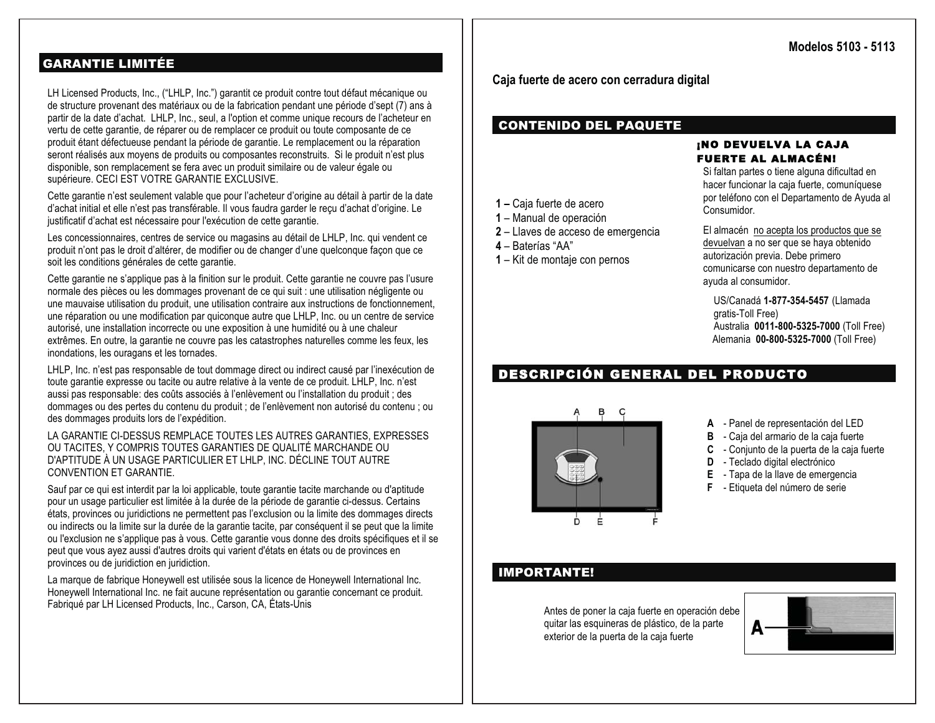## GARANTIE LIMITÉE

LH Licensed Products, Inc., ("LHLP, Inc.") garantit ce produit contre tout défaut mécanique ou de structure provenant des matériaux ou de la fabrication pendant une période d'sept (7) ans à partir de la date d'achat. LHLP, Inc., seul, a l'option et comme unique recours de l'acheteur en vertu de cette garantie, de réparer ou de remplacer ce produit ou toute composante de ce produit étant défectueuse pendant la période de garantie. Le remplacement ou la réparation seront réalisés aux moyens de produits ou composantes reconstruits. Si le produit n'est plus disponible, son remplacement se fera avec un produit similaire ou de valeur égale ou supérieure. CECI EST VOTRE GARANTIE EXCLUSIVE.

Cette garantie n'est seulement valable que pour l'acheteur d'origine au détail à partir de la date d'achat initial et elle n'est pas transférable. Il vous faudra garder le reçu d'achat d'origine. Le justificatif d'achat est nécessaire pour l'exécution de cette garantie.

Les concessionnaires, centres de service ou magasins au détail de LHLP, Inc. qui vendent ce produit n'ont pas le droit d'altérer, de modifier ou de changer d'une quelconque façon que ce soit les conditions générales de cette garantie.

Cette garantie ne s'applique pas à la finition sur le produit. Cette garantie ne couvre pas l'usure normale des pièces ou les dommages provenant de ce qui suit : une utilisation négligente ou une mauvaise utilisation du produit, une utilisation contraire aux instructions de fonctionnement, une réparation ou une modification par quiconque autre que LHLP, Inc. ou un centre de service autorisé, une installation incorrecte ou une exposition à une humidité ou à une chaleur extrêmes. En outre, la garantie ne couvre pas les catastrophes naturelles comme les feux, les inondations, les ouragans et les tornades.

LHLP, Inc. n'est pas responsable de tout dommage direct ou indirect causé par l'inexécution de toute garantie expresse ou tacite ou autre relative à la vente de ce produit. LHLP, Inc. n'est aussi pas responsable: des coûts associés à l'enlèvement ou l'installation du produit ; des dommages ou des pertes du contenu du produit ; de l'enlèvement non autorisé du contenu ; ou des dommages produits lors de l'expédition.

LA GARANTIE CI-DESSUS REMPLACE TOUTES LES AUTRES GARANTIES, EXPRESSES OU TACITES, Y COMPRIS TOUTES GARANTIES DE QUALITÉ MARCHANDE OU D'APTITUDE À UN USAGE PARTICULIER ET LHLP, INC. DÉCLINE TOUT AUTRE CONVENTION ET GARANTIE.

Sauf par ce qui est interdit par la loi applicable, toute garantie tacite marchande ou d'aptitude pour un usage particulier est limitée à la durée de la période de garantie ci-dessus. Certains états, provinces ou juridictions ne permettent pas l'exclusion ou la limite des dommages directs ou indirects ou la limite sur la durée de la garantie tacite, par conséquent il se peut que la limite ou l'exclusion ne s'applique pas à vous. Cette garantie vous donne des droits spécifiques et il se peut que vous ayez aussi d'autres droits qui varient d'états en états ou de provinces en provinces ou de juridiction en juridiction.

La marque de fabrique Honeywell est utilisée sous la licence de Honeywell International Inc. Honeywell International Inc. ne fait aucune représentation ou garantie concernant ce produit. Fabriqué par LH Licensed Products, Inc., Carson, CA, États-Unis

**Caja fuerte de acero con cerradura digital** 

## CONTENIDO DEL PAQUETE

**2** – Llaves de acceso de emergencia

**1** – Kit de montaje con pernos

**1 –** Caja fuerte de acero **1** – Manual de operación

**4** – Baterías "AA"

#### ¡N O DEVUELVA LA CAJA FUERTE AL ALMACÉN!

Si faltan partes o tiene alguna dificultad en hacer funcionar la caja fuerte, comuníquese por teléfono con el Departamento de Ayuda al Consumidor.

El almacén no acepta los productos que se devuelvan a no ser que se haya obtenido autorización previa. Debe primero comunicarse con nuestro departamento de ayuda al consumidor.

US/Canadá **1-877-354-5457** (Llamada gratis-Toll Free) Australia **0011-800-5325-7000** (Toll Free) Alemania **00-800-5325-7000** (Toll Free)

## DESCRIPCIÓN GENERAL DEL PRODUCTO



- **A**  Panel de representación del LED
- **B** Caja del armario de la caja fuerte
- **C** Conjunto de la puerta de la caja fuerte
- **D** Teclado digital electrónico
- **E** Tapa de la llave de emergencia
- **F** Etiqueta del número de serie

## IMPORTANTE!

Antes de poner la caja fuerte en operación debe quitar las esquineras de plástico, de la parte exterior de la puerta de la caja fuerte

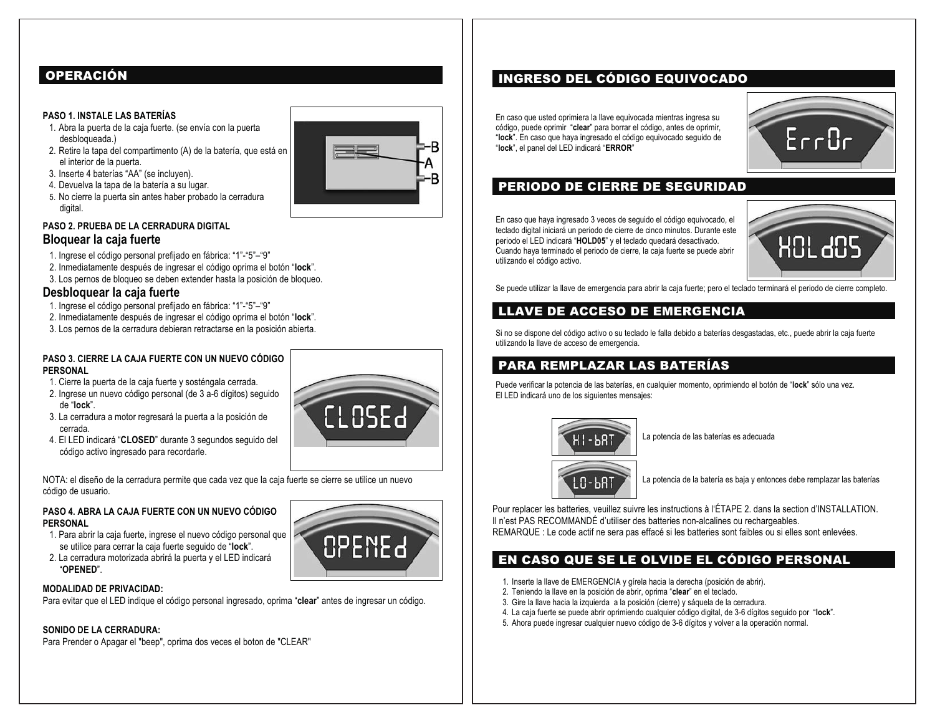## OPERACIÓN

#### **PASO 1. INSTALE LAS BATERÍAS**

- 1. Abra la puerta de la caja fuerte. (se envía con la puerta desbloqueada.)
- 2. Retire la tapa del compartimento (A) de la batería, que está en el interior de la puerta.
- 3. Inserte 4 baterías "AA" (se incluyen).
- 4. Devuelva la tapa de la batería a su lugar.
- 5. No cierre la puerta sin antes haber probado la cerradura digital.

#### **PASO 2. PRUEBA DE LA CERRADURA DIGITAL Bloquear la caja fuerte**

- 1. Ingrese el código personal prefijado en fábrica: "1"-"5"–"9"
- 2. Inmediatamente después de ingresar el código oprima el botón "**lock**".
- 3. Los pernos de bloqueo se deben extender hasta la posición de bloqueo.

#### **Desbloquear la caja fuerte**

- 1. Ingrese el código personal prefijado en fábrica: "1"-"5"–"9"
- 2. Inmediatamente después de ingresar el código oprima el botón "**lock**".
- 3. Los pernos de la cerradura debieran retractarse en la posición abierta.

#### **PASO 3. CIERRE LA CAJA FUERTE CON UN NUEVO CÓDIGO PERSONAL**

- 1. Cierre la puerta de la caja fuerte y sosténgala cerrada.
- 2. Ingrese un nuevo código personal (de 3 a-6 dígitos) seguido de "**lock**".
- 3. La cerradura a motor regresará la puerta a la posición de cerrada.
- 4. El LED indicará "**CLOSED**" durante 3 segundos seguido del código activo ingresado para recordarle.

NOTA: el diseño de la cerradura permite que cada vez que la caja fuerte se cierre se utilice un nuevo código de usuario.

#### **PASO 4. ABRA LA CAJA FUERTE CON UN NUEVO CÓDIGO PERSONAL**

- 1. Para abrir la caja fuerte, ingrese el nuevo código personal que se utilice para cerrar la caja fuerte seguido de "**lock**".
- 2. La cerradura motorizada abrirá la puerta y el LED indicará "**OPENED**".

#### **MODALIDAD DE PRIVACIDAD:**

Para evitar que el LED indique el código personal ingresado, oprima "**clear**" antes de ingresar un código.

#### **SONIDO DE LA CERRADURA:**

Para Prender o Apagar el "beep", oprima dos veces el boton de "CLEAR"

H ! - PB.

LO-68T

La potencia de la batería es baja y entonces debe remplazar las baterías

Pour replacer les batteries, veuillez suivre les instructions à l'ÉTAPE 2. dans la section d'INSTALLATION. Il n'est PAS RECOMMANDÉ d'utiliser des batteries non-alcalines ou rechargeables. REMARQUE : Le code actif ne sera pas effacé si les batteries sont faibles ou si elles sont enlevées.

La potencia de las baterías es adecuada

## EN CASO QUE SE LE OLVIDE EL CÓDIGO PERSONAL

- 1. Inserte la llave de EMERGENCIA y gírela hacia la derecha (posición de abrir).
- 2. Teniendo la llave en la posición de abrir, oprima "**clear**" en el teclado.
- 3. Gire la llave hacia la izquierda a la posición (cierre) y sáquela de la cerradura.
- 4. La caja fuerte se puede abrir oprimiendo cualquier código digital, de 3-6 dígitos seguido por "**lock**".
- 5. Ahora puede ingresar cualquier nuevo código de 3-6 dígitos y volver a la operación normal.

Se puede utilizar la llave de emergencia para abrir la caja fuerte; pero el teclado terminará el periodo de cierre completo.

## LLAVE DE ACCESO DE EMERGENCIA

periodo el LED indicará "**HOLD05**" y el teclado quedará desactivado.

INGRESO DEL CÓDIGO EQUIVOCADO

Si no se dispone del código activo o su teclado le falla debido a baterías desgastadas, etc., puede abrir la caja fuerte utilizando la llave de acceso de emergencia.

## PARA REMPLAZAR LAS BATERÍAS

Puede verificar la potencia de las baterías, en cualquier momento, oprimiendo el botón de "**lock**" sólo una vez. El LED indicará uno de los siguientes mensajes:



utilizando el código activo.







PERIODO DE CIERRE DE SEGURIDAD En caso que haya ingresado 3 veces de seguido el código equivocado, el teclado digital iniciará un periodo de cierre de cinco minutos. Durante este Cuando haya terminado el periodo de cierre, la caja fuerte se puede abrir



А ·B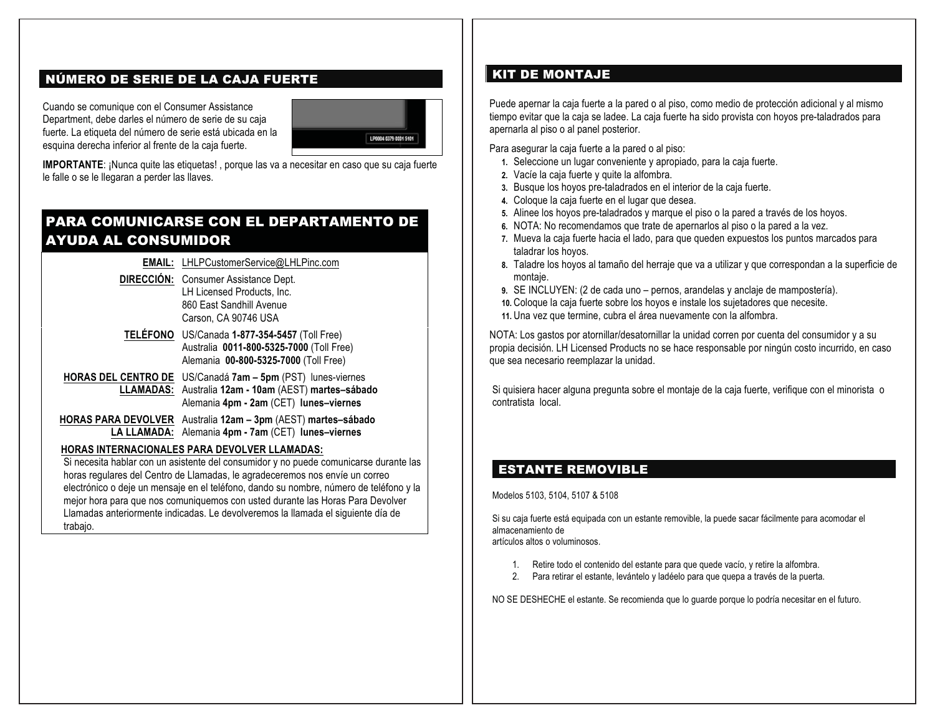## NÚMERO DE SERIE DE LA CAJA FUERTE

Cuando se comunique con el Consumer Assistance Department, debe darles el número de serie de su caja fuerte. La etiqueta del número de serie está ubicada en la esquina derecha inferior al frente de la caja fuerte.



**IMPORTANTE**: ¡Nunca quite las etiquetas! , porque las va a necesitar en caso que su caja fuerte le falle o se le llegaran a perder las llaves.

## PARA COMUNICARSE CON EL DEPARTAMENTO DE AYUDA AL CONSUMIDOR

**EMAIL:** LHLPCustomerService@LHLPinc.com **DIRECCIÓN:** Consumer Assistance Dept. LH Licensed Products, Inc. 860 East Sandhill Avenue Carson, CA 90746 USA **TELÉFONO** US/Canada **1-877-354-5457** (Toll Free) Australia **0011-800-5325-7000** (Toll Free) Alemania **00-800-5325-7000** (Toll Free) **HORAS DEL CENTRO DE**  US/Canadá **7am – 5pm** (PST) lunes-viernes **LLAMADAS:**  Australia **12am - 10am** (AEST) **martes–sábado** Alemania **4pm - 2am** (CET) **lunes–viernes HORAS PARA DEVOLVER**  Australia **12am – 3pm** (AEST) **martes–sábado LA LLAMADA:**  Alemania **4pm - 7am** (CET) **lunes–viernes** 

#### **HORAS INTERNACIONALES PARA DEVOLVER LLAMADAS:**

Si necesita hablar con un asistente del consumidor y no puede comunicarse durante las horas regulares del Centro de Llamadas, le agradeceremos nos envíe un correo electrónico o deje un mensaje en el teléfono, dando su nombre, número de teléfono y la mejor hora para que nos comuniquemos con usted durante las Horas Para Devolver Llamadas anteriormente indicadas. Le devolveremos la llamada el siguiente día de trabajo.

## KIT DE MONTAJE

Puede apernar la caja fuerte a la pared o al piso, como medio de protección adicional y al mismo tiempo evitar que la caja se ladee. La caja fuerte ha sido provista con hoyos pre-taladrados para apernarla al piso o al panel posterior.

Para asegurar la caja fuerte a la pared o al piso:

- **1.** Seleccione un lugar conveniente y apropiado, para la caja fuerte.
- **2.** Vacíe la caja fuerte y quite la alfombra.
- **3.** Busque los hoyos pre-taladrados en el interior de la caja fuerte.
- **4.** Coloque la caja fuerte en el lugar que desea.
- **5.** Alinee los hoyos pre-taladrados y marque el piso o la pared a través de los hoyos.
- **6.** NOTA: No recomendamos que trate de apernarlos al piso o la pared a la vez.
- **7.** Mueva la caja fuerte hacia el lado, para que queden expuestos los puntos marcados para taladrar los hoyos.
- **8.** Taladre los hoyos al tamaño del herraje que va a utilizar y que correspondan a la superficie de montaje.
- **9.** SE INCLUYEN: (2 de cada uno pernos, arandelas y anclaje de mampostería).
- **10.** Coloque la caja fuerte sobre los hoyos e instale los sujetadores que necesite.
- **11.** Una vez que termine, cubra el área nuevamente con la alfombra.

NOTA: Los gastos por atornillar/desatornillar la unidad corren por cuenta del consumidor y a su propia decisión. LH Licensed Products no se hace responsable por ningún costo incurrido, en caso que sea necesario reemplazar la unidad.

Si quisiera hacer alguna pregunta sobre el montaje de la caja fuerte, verifique con el minorista o contratista local.

## ESTANTE REMOVIBLE

Modelos 5103, 5104, 5107 & 5108

Si su caja fuerte está equipada con un estante removible, la puede sacar fácilmente para acomodar el almacenamiento de

artículos altos o voluminosos.

- 1. Retire todo el contenido del estante para que quede vacío, y retire la alfombra.
- 2. Para retirar el estante, levántelo y ladéelo para que quepa a través de la puerta.

NO SE DESHECHE el estante. Se recomienda que lo guarde porque lo podría necesitar en el futuro.